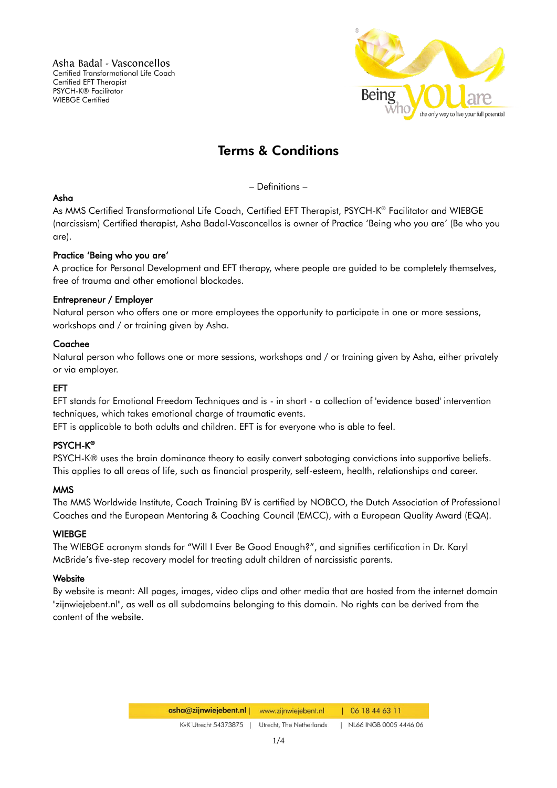Asha Badal - Vasconcellos Certified Transformational Life Coach Certified EFT Therapist PSYCH-K® Facilitator WIEBGE Certified



# Terms & Conditions

– Definitions –

# Asha

As MMS Certified Transformational Life Coach, Certified EFT Therapist, PSYCH-K ® Facilitator and WIEBGE (narcissism) Certified therapist, Asha Badal-Vasconcellos is owner of Practice 'Being who you are' (Be who you are).

## Practice 'Being who you are'

A practice for Personal Development and EFT therapy, where people are guided to be completely themselves, free of trauma and other emotional blockades.

## Entrepreneur / Employer

Natural person who offers one or more employees the opportunity to participate in one or more sessions, workshops and / or training given by Asha.

## Coachee

Natural person who follows one or more sessions, workshops and / or training given by Asha, either privately or via employer.

#### EFT

EFT stands for Emotional Freedom Techniques and is - in short - a collection of 'evidence based' intervention techniques, which takes emotional charge of traumatic events.

EFT is applicable to both adults and children. EFT is for everyone who is able to feel.

# PSYCH-K ®

PSYCH-K® uses the brain dominance theory to easily convert sabotaging convictions into supportive beliefs. This applies to all areas of life, such as financial prosperity, self-esteem, health, relationships and career.

#### MMS

The MMS Worldwide Institute, Coach Training BV is certified by NOBCO, the Dutch Association of Professional Coaches and the European Mentoring & Coaching Council (EMCC), with a European Quality Award (EQA).

# **WIEBGE**

The WIEBGE acronym stands for "Will I Ever Be Good Enough?", and signifies certification in Dr. Karyl McBride's five-step recovery model for treating adult children of narcissistic parents.

#### **Website**

By website is meant: All pages, images, video clips and other media that are hosted from the internet domain "zijnwiejebent.nl", as well as all subdomains belonging to this domain. No rights can be derived from the content of the website.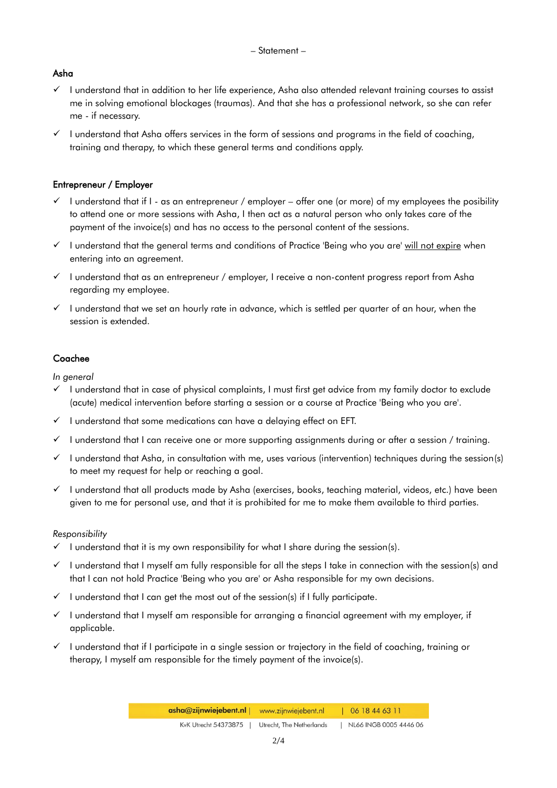# Asha

- $\checkmark$  I understand that in addition to her life experience, Asha also attended relevant training courses to assist me in solving emotional blockages (traumas). And that she has a professional network, so she can refer me - if necessary.
- $\checkmark$  I understand that Asha offers services in the form of sessions and programs in the field of coaching, training and therapy, to which these general terms and conditions apply.

# Entrepreneur / Employer

- $\checkmark$  I understand that if I as an entrepreneur / employer offer one (or more) of my employees the posibility to attend one or more sessions with Asha, I then act as a natural person who only takes care of the payment of the invoice(s) and has no access to the personal content of the sessions.
- $\checkmark$  I understand that the general terms and conditions of Practice 'Being who you are' will not expire when entering into an agreement.
- $\checkmark$  I understand that as an entrepreneur / employer, I receive a non-content progress report from Asha regarding my employee.
- $\checkmark$  I understand that we set an hourly rate in advance, which is settled per quarter of an hour, when the session is extended.

# Coachee

*In general*

- $\checkmark$  I understand that in case of physical complaints, I must first get advice from my family doctor to exclude (acute) medical intervention before starting a session or a course at Practice 'Being who you are'.
- $\checkmark$  I understand that some medications can have a delaying effect on EFT.
- $\checkmark$  I understand that I can receive one or more supporting assignments during or after a session / training.
- $\checkmark$  I understand that Asha, in consultation with me, uses various (intervention) techniques during the session(s) to meet my request for help or reaching a goal.
- $\checkmark$  I understand that all products made by Asha (exercises, books, teaching material, videos, etc.) have been given to me for personal use, and that it is prohibited for me to make them available to third parties.

#### *Responsibility*

- $\checkmark$  I understand that it is my own responsibility for what I share during the session(s).
- $\checkmark$  I understand that I myself am fully responsible for all the steps I take in connection with the session(s) and that I can not hold Practice 'Being who you are' or Asha responsible for my own decisions.
- $\checkmark$  I understand that I can get the most out of the session(s) if I fully participate.
- $\checkmark$  I understand that I myself am responsible for arranging a financial agreement with my employer, if applicable.
- $\checkmark$  I understand that if I participate in a single session or trajectory in the field of coaching, training or therapy, I myself am responsible for the timely payment of the invoice(s).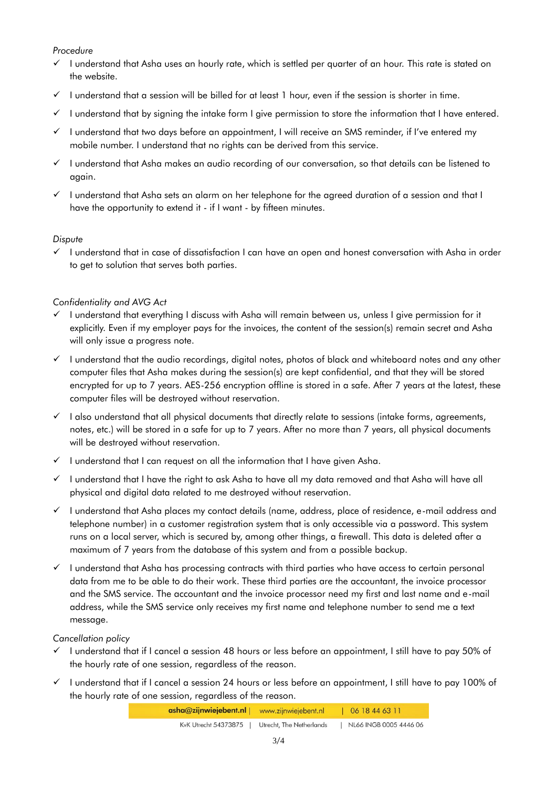## *Procedure*

- $\checkmark$  I understand that Asha uses an hourly rate, which is settled per quarter of an hour. This rate is stated on the website.
- $\checkmark$  I understand that a session will be billed for at least 1 hour, even if the session is shorter in time.
- $\checkmark$  I understand that by signing the intake form I give permission to store the information that I have entered.
- $\checkmark$  I understand that two days before an appointment, I will receive an SMS reminder, if I've entered my mobile number. I understand that no rights can be derived from this service.
- $\checkmark$  I understand that Asha makes an audio recording of our conversation, so that details can be listened to again.
- $\checkmark$  I understand that Asha sets an alarm on her telephone for the agreed duration of a session and that I have the opportunity to extend it - if I want - by fifteen minutes.

## *Dispute*

 $\checkmark$  I understand that in case of dissatisfaction I can have an open and honest conversation with Asha in order to get to solution that serves both parties.

## *Confidentiality and AVG Act*

- $\checkmark$  I understand that everything I discuss with Asha will remain between us, unless I give permission for it explicitly. Even if my employer pays for the invoices, the content of the session(s) remain secret and Asha will only issue a progress note.
- $\checkmark$  I understand that the audio recordings, digital notes, photos of black and whiteboard notes and any other computer files that Asha makes during the session(s) are kept confidential, and that they will be stored encrypted for up to 7 years. AES-256 encryption offline is stored in a safe. After 7 years at the latest, these computer files will be destroyed without reservation.
- $\checkmark$  I also understand that all physical documents that directly relate to sessions (intake forms, agreements, notes, etc.) will be stored in a safe for up to 7 years. After no more than 7 years, all physical documents will be destroyed without reservation.
- $\checkmark$  I understand that I can request on all the information that I have given Asha.
- $\checkmark$  I understand that I have the right to ask Asha to have all my data removed and that Asha will have all physical and digital data related to me destroyed without reservation.
- $\checkmark$  I understand that Asha places my contact details (name, address, place of residence, e-mail address and telephone number) in a customer registration system that is only accessible via a password. This system runs on a local server, which is secured by, among other things, a firewall. This data is deleted after a maximum of 7 years from the database of this system and from a possible backup.
- $\checkmark$  I understand that Asha has processing contracts with third parties who have access to certain personal data from me to be able to do their work. These third parties are the accountant, the invoice processor and the SMS service. The accountant and the invoice processor need my first and last name and e-mail address, while the SMS service only receives my first name and telephone number to send me a text message.

#### *Cancellation policy*

- $\checkmark$  I understand that if I cancel a session 48 hours or less before an appointment, I still have to pay 50% of the hourly rate of one session, regardless of the reason.
- $\checkmark$  I understand that if I cancel a session 24 hours or less before an appointment, I still have to pay 100% of the hourly rate of one session, regardless of the reason.

| asha@zijnwiejebent.nl   www.zijnwiejebent.nl |                          | 06 18 44 63 11         |
|----------------------------------------------|--------------------------|------------------------|
| KyK Utrecht 54373875                         | Utrecht, The Netherlands | NL66 INGB 0005 4446 06 |